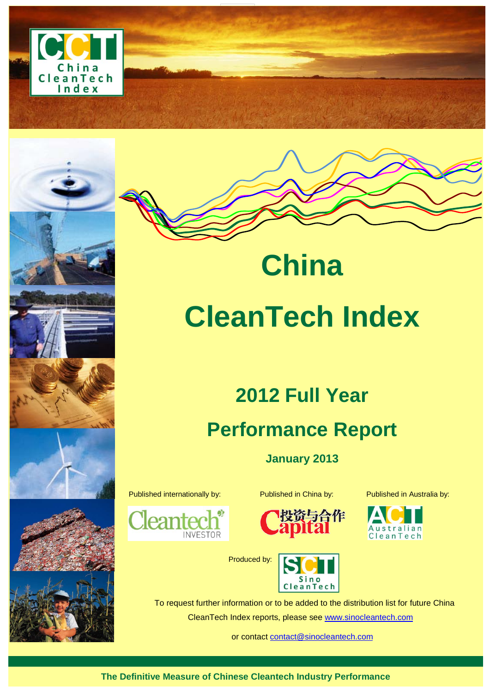



# **China CleanTech Index**

# **2012 Full Year Performance Report**

**January 2013**



Published internationally by: Published in China by: Published in Australia by:





CleanTech



Produced by:

To request further information or to be added to the distribution list for future China CleanTech Index reports, please see [www.sinocleantech.com](http://www.sinocleantech.com/)

or contact [contact@sinocleantech.com](mailto:contact@sinocleantech.com)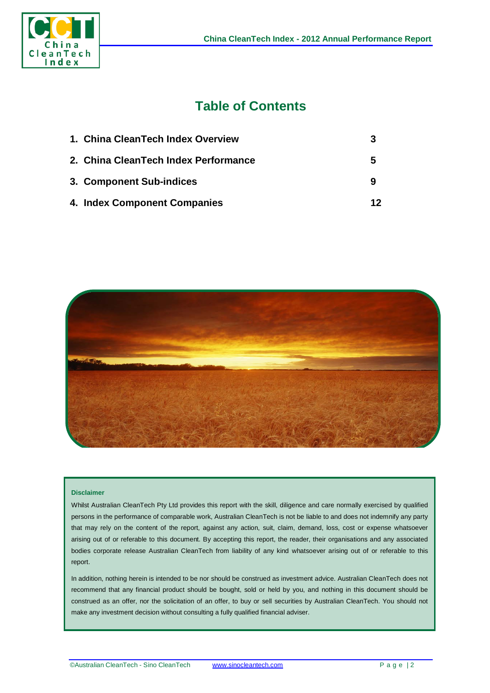

# **Table of Contents**

| 1. China CleanTech Index Overview    |    |
|--------------------------------------|----|
| 2. China CleanTech Index Performance | 5  |
| 3. Component Sub-indices             | 9  |
| 4. Index Component Companies         | 12 |



#### **Disclaimer**

Whilst Australian CleanTech Pty Ltd provides this report with the skill, diligence and care normally exercised by qualified persons in the performance of comparable work, Australian CleanTech is not be liable to and does not indemnify any party that may rely on the content of the report, against any action, suit, claim, demand, loss, cost or expense whatsoever arising out of or referable to this document. By accepting this report, the reader, their organisations and any associated bodies corporate release Australian CleanTech from liability of any kind whatsoever arising out of or referable to this report.

In addition, nothing herein is intended to be nor should be construed as investment advice. Australian CleanTech does not recommend that any financial product should be bought, sold or held by you, and nothing in this document should be construed as an offer, nor the solicitation of an offer, to buy or sell securities by Australian CleanTech. You should not make any investment decision without consulting a fully qualified financial adviser.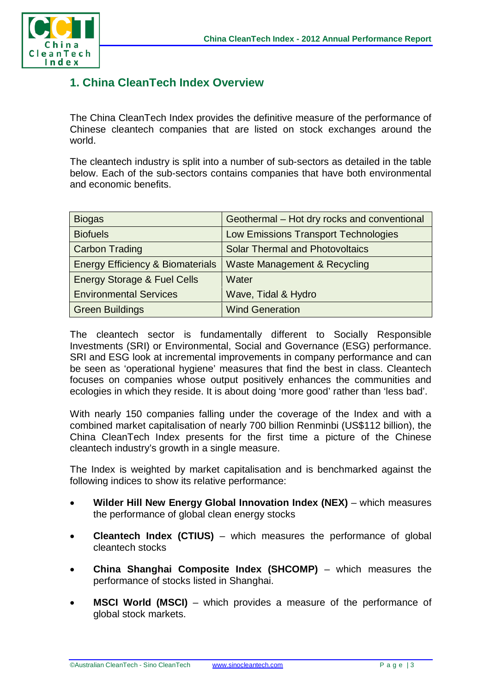

# **1. China CleanTech Index Overview**

The China CleanTech Index provides the definitive measure of the performance of Chinese cleantech companies that are listed on stock exchanges around the world.

The cleantech industry is split into a number of sub-sectors as detailed in the table below. Each of the sub-sectors contains companies that have both environmental and economic benefits.

| <b>Biogas</b>                               | Geothermal - Hot dry rocks and conventional |  |  |  |
|---------------------------------------------|---------------------------------------------|--|--|--|
| <b>Biofuels</b>                             | Low Emissions Transport Technologies        |  |  |  |
| <b>Carbon Trading</b>                       | <b>Solar Thermal and Photovoltaics</b>      |  |  |  |
| <b>Energy Efficiency &amp; Biomaterials</b> | Waste Management & Recycling                |  |  |  |
| <b>Energy Storage &amp; Fuel Cells</b>      | Water                                       |  |  |  |
| <b>Environmental Services</b>               | Wave, Tidal & Hydro                         |  |  |  |
| <b>Green Buildings</b>                      | <b>Wind Generation</b>                      |  |  |  |

The cleantech sector is fundamentally different to Socially Responsible Investments (SRI) or Environmental, Social and Governance (ESG) performance. SRI and ESG look at incremental improvements in company performance and can be seen as 'operational hygiene' measures that find the best in class. Cleantech focuses on companies whose output positively enhances the communities and ecologies in which they reside. It is about doing 'more good' rather than 'less bad'.

With nearly 150 companies falling under the coverage of the Index and with a combined market capitalisation of nearly 700 billion Renminbi (US\$112 billion), the China CleanTech Index presents for the first time a picture of the Chinese cleantech industry's growth in a single measure.

The Index is weighted by market capitalisation and is benchmarked against the following indices to show its relative performance:

- **Wilder Hill New Energy Global Innovation Index (NEX)** which measures the performance of global clean energy stocks
- **Cleantech Index (CTIUS)** which measures the performance of global cleantech stocks
- **China Shanghai Composite Index (SHCOMP)** which measures the performance of stocks listed in Shanghai.
- **MSCI World (MSCI)** which provides a measure of the performance of global stock markets.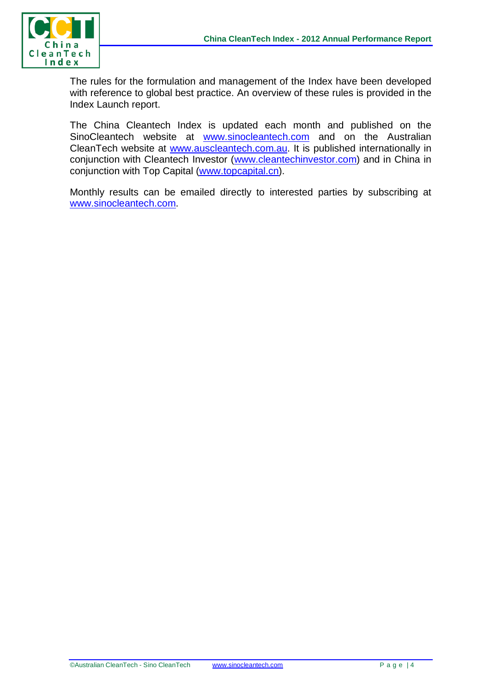

The rules for the formulation and management of the Index have been developed with reference to global best practice. An overview of these rules is provided in the Index Launch report.

The China Cleantech Index is updated each month and published on the SinoCleantech website at [www.sinocleantech.com](http://www.sinocleantech.com/) and on the Australian CleanTech website at [www.auscleantech.com.au.](http://www.auscleantech.com.au/) It is published internationally in conjunction with Cleantech Investor [\(www.cleantechinvestor.com\)](http://www.cleantechinvestor.com/) and in China in conjunction with Top Capital [\(www.topcapital.cn\)](http://www.topcapital.cn/).

Monthly results can be emailed directly to interested parties by subscribing at [www.sinocleantech.com.](http://www.sinocleantech.com/)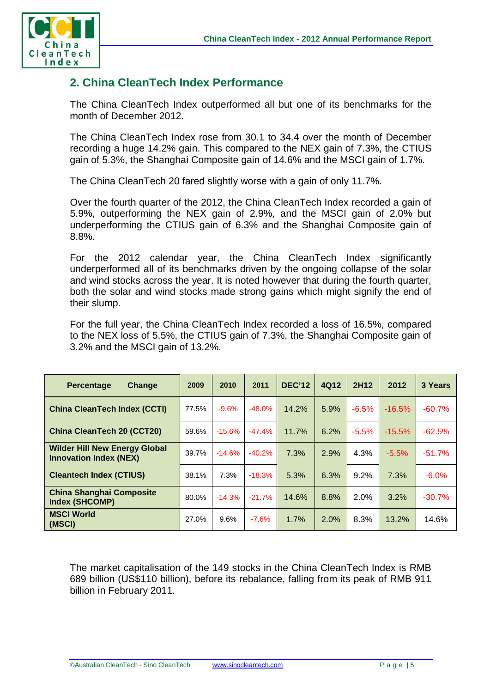

# **2. China CleanTech Index Performance**

The China CleanTech Index outperformed all but one of its benchmarks for the month of December 2012.

The China CleanTech Index rose from 30.1 to 34.4 over the month of December recording a huge 14.2% gain. This compared to the NEX gain of 7.3%, the CTIUS gain of 5.3%, the Shanghai Composite gain of 14.6% and the MSCI gain of 1.7%.

The China CleanTech 20 fared slightly worse with a gain of only 11.7%.

Over the fourth quarter of the 2012, the China CleanTech Index recorded a gain of 5.9%, outperforming the NEX gain of 2.9%, and the MSCI gain of 2.0% but underperforming the CTIUS gain of 6.3% and the Shanghai Composite gain of 8.8%.

For the 2012 calendar year, the China CleanTech Index significantly underperformed all of its benchmarks driven by the ongoing collapse of the solar and wind stocks across the year. It is noted however that during the fourth quarter, both the solar and wind stocks made strong gains which might signify the end of their slump.

For the full year, the China CleanTech Index recorded a loss of 16.5%, compared to the NEX loss of 5.5%, the CTIUS gain of 7.3%, the Shanghai Composite gain of 3.2% and the MSCI gain of 13.2%.

| <b>Percentage</b><br>Change                                           | 2009  | 2010     | 2011     | <b>DEC'12</b> | 4Q12 | 2H12    | 2012     | 3 Years  |
|-----------------------------------------------------------------------|-------|----------|----------|---------------|------|---------|----------|----------|
| <b>China CleanTech Index (CCTI)</b>                                   | 77.5% | $-9.6%$  | $-48.0%$ | 14.2%         | 5.9% | $-6.5%$ | $-16.5%$ | $-60.7%$ |
| <b>China CleanTech 20 (CCT20)</b>                                     | 59.6% | $-15.6%$ | $-47.4%$ | 11.7%         | 6.2% | $-5.5%$ | $-15.5%$ | $-62.5%$ |
| <b>Wilder Hill New Energy Global</b><br><b>Innovation Index (NEX)</b> | 39.7% | $-14.6%$ | $-40.2%$ | 7.3%          | 2.9% | 4.3%    | $-5.5%$  | $-51.7%$ |
| <b>Cleantech Index (CTIUS)</b>                                        | 38.1% | 7.3%     | $-18.3%$ | 5.3%          | 6.3% | 9.2%    | 7.3%     | $-6.0%$  |
| <b>China Shanghai Composite</b><br>Index (SHCOMP)                     | 80.0% | $-14.3%$ | $-21.7%$ | 14.6%         | 8.8% | 2.0%    | 3.2%     | $-30.7%$ |
| <b>MSCI World</b><br>(MSCI)                                           | 27.0% | 9.6%     | $-7.6%$  | 1.7%          | 2.0% | 8.3%    | 13.2%    | 14.6%    |

The market capitalisation of the 149 stocks in the China CleanTech Index is RMB 689 billion (US\$110 billion), before its rebalance, falling from its peak of RMB 911 billion in February 2011.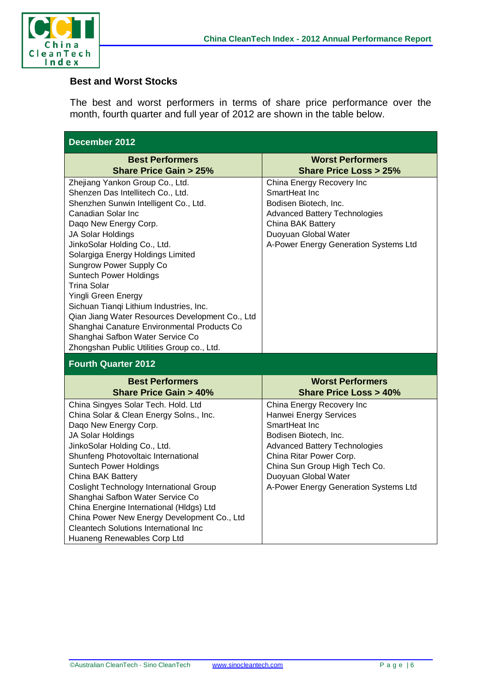

#### **Best and Worst Stocks**

The best and worst performers in terms of share price performance over the month, fourth quarter and full year of 2012 are shown in the table below.

| December 2012                                                                                                                                                                                                                                                                                                                                                                                                                                                                                                                                                                                         |                                                                                                                                                                                                                                                                    |  |  |  |  |  |
|-------------------------------------------------------------------------------------------------------------------------------------------------------------------------------------------------------------------------------------------------------------------------------------------------------------------------------------------------------------------------------------------------------------------------------------------------------------------------------------------------------------------------------------------------------------------------------------------------------|--------------------------------------------------------------------------------------------------------------------------------------------------------------------------------------------------------------------------------------------------------------------|--|--|--|--|--|
| <b>Best Performers</b><br><b>Share Price Gain &gt; 25%</b>                                                                                                                                                                                                                                                                                                                                                                                                                                                                                                                                            | <b>Worst Performers</b><br><b>Share Price Loss &gt; 25%</b>                                                                                                                                                                                                        |  |  |  |  |  |
| Zhejiang Yankon Group Co., Ltd.<br>Shenzen Das Intellitech Co., Ltd.<br>Shenzhen Sunwin Intelligent Co., Ltd.<br><b>Canadian Solar Inc</b><br>Daqo New Energy Corp.<br>JA Solar Holdings<br>JinkoSolar Holding Co., Ltd.<br>Solargiga Energy Holdings Limited<br><b>Sungrow Power Supply Co</b><br><b>Suntech Power Holdings</b><br>Trina Solar<br>Yingli Green Energy<br>Sichuan Tianqi Lithium Industries, Inc.<br>Qian Jiang Water Resources Development Co., Ltd<br>Shanghai Canature Environmental Products Co<br>Shanghai Safbon Water Service Co<br>Zhongshan Public Utilities Group co., Ltd. | China Energy Recovery Inc<br>SmartHeat Inc<br>Bodisen Biotech, Inc.<br><b>Advanced Battery Technologies</b><br><b>China BAK Battery</b><br>Duoyuan Global Water<br>A-Power Energy Generation Systems Ltd                                                           |  |  |  |  |  |
| <b>Fourth Quarter 2012</b>                                                                                                                                                                                                                                                                                                                                                                                                                                                                                                                                                                            |                                                                                                                                                                                                                                                                    |  |  |  |  |  |
| <b>Best Performers</b><br><b>Share Price Gain &gt; 40%</b>                                                                                                                                                                                                                                                                                                                                                                                                                                                                                                                                            | <b>Worst Performers</b><br><b>Share Price Loss &gt; 40%</b>                                                                                                                                                                                                        |  |  |  |  |  |
| China Singyes Solar Tech. Hold. Ltd<br>China Solar & Clean Energy Solns., Inc.<br>Daqo New Energy Corp.<br>JA Solar Holdings<br>JinkoSolar Holding Co., Ltd.<br>Shunfeng Photovoltaic International<br><b>Suntech Power Holdings</b><br>China BAK Battery<br><b>Coslight Technology International Group</b><br>Shanghai Safbon Water Service Co<br>China Energine International (HIdgs) Ltd<br>China Power New Energy Development Co., Ltd<br><b>Cleantech Solutions International Inc</b><br>Huaneng Renewables Corp Ltd                                                                             | China Energy Recovery Inc<br>Hanwei Energy Services<br>SmartHeat Inc<br>Bodisen Biotech, Inc.<br><b>Advanced Battery Technologies</b><br>China Ritar Power Corp.<br>China Sun Group High Tech Co.<br>Duoyuan Global Water<br>A-Power Energy Generation Systems Ltd |  |  |  |  |  |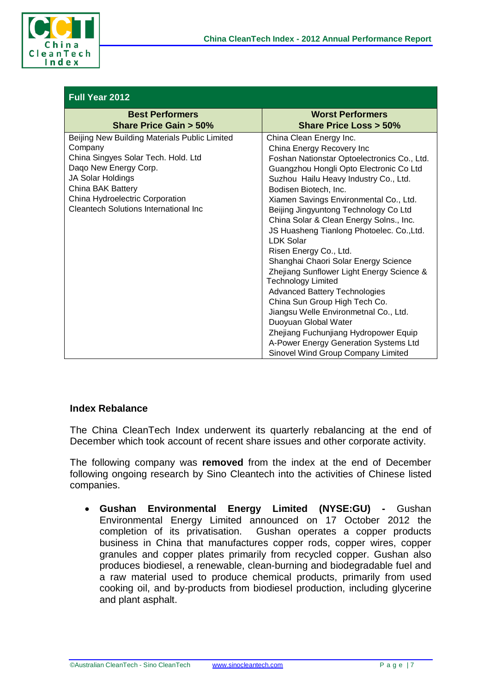

| Full Year 2012                                                                  |                                                               |  |  |  |  |  |
|---------------------------------------------------------------------------------|---------------------------------------------------------------|--|--|--|--|--|
| <b>Best Performers</b>                                                          | <b>Worst Performers</b>                                       |  |  |  |  |  |
| <b>Share Price Gain &gt; 50%</b>                                                | <b>Share Price Loss &gt; 50%</b>                              |  |  |  |  |  |
| Beijing New Building Materials Public Limited                                   | China Clean Energy Inc.                                       |  |  |  |  |  |
| Company                                                                         | China Energy Recovery Inc                                     |  |  |  |  |  |
| China Singyes Solar Tech. Hold. Ltd                                             | Foshan Nationstar Optoelectronics Co., Ltd.                   |  |  |  |  |  |
| Dago New Energy Corp.                                                           | Guangzhou Hongli Opto Electronic Co Ltd                       |  |  |  |  |  |
| JA Solar Holdings                                                               | Suzhou Hailu Heavy Industry Co., Ltd.                         |  |  |  |  |  |
| China BAK Battery                                                               | Bodisen Biotech, Inc.                                         |  |  |  |  |  |
| China Hydroelectric Corporation<br><b>Cleantech Solutions International Inc</b> | Xiamen Savings Environmental Co., Ltd.                        |  |  |  |  |  |
|                                                                                 | Beijing Jingyuntong Technology Co Ltd                         |  |  |  |  |  |
|                                                                                 | China Solar & Clean Energy Solns., Inc.                       |  |  |  |  |  |
|                                                                                 | JS Huasheng Tianlong Photoelec. Co., Ltd.<br><b>LDK Solar</b> |  |  |  |  |  |
|                                                                                 | Risen Energy Co., Ltd.                                        |  |  |  |  |  |
|                                                                                 | Shanghai Chaori Solar Energy Science                          |  |  |  |  |  |
|                                                                                 | Zhejiang Sunflower Light Energy Science &                     |  |  |  |  |  |
|                                                                                 | <b>Technology Limited</b>                                     |  |  |  |  |  |
|                                                                                 | <b>Advanced Battery Technologies</b>                          |  |  |  |  |  |
|                                                                                 | China Sun Group High Tech Co.                                 |  |  |  |  |  |
|                                                                                 | Jiangsu Welle Environmetnal Co., Ltd.                         |  |  |  |  |  |
|                                                                                 | Duoyuan Global Water                                          |  |  |  |  |  |
|                                                                                 | Zhejiang Fuchunjiang Hydropower Equip                         |  |  |  |  |  |
|                                                                                 | A-Power Energy Generation Systems Ltd                         |  |  |  |  |  |
|                                                                                 | Sinovel Wind Group Company Limited                            |  |  |  |  |  |

#### **Index Rebalance**

The China CleanTech Index underwent its quarterly rebalancing at the end of December which took account of recent share issues and other corporate activity.

The following company was **removed** from the index at the end of December following ongoing research by Sino Cleantech into the activities of Chinese listed companies.

• **Gushan Environmental Energy Limited (NYSE:GU) -** Gushan Environmental Energy Limited announced on 17 October 2012 the completion of its privatisation. Gushan operates a copper products business in China that manufactures copper rods, copper wires, copper granules and copper plates primarily from recycled copper. Gushan also produces biodiesel, a renewable, clean-burning and biodegradable fuel and a raw material used to produce chemical products, primarily from used cooking oil, and by-products from biodiesel production, including glycerine and plant asphalt.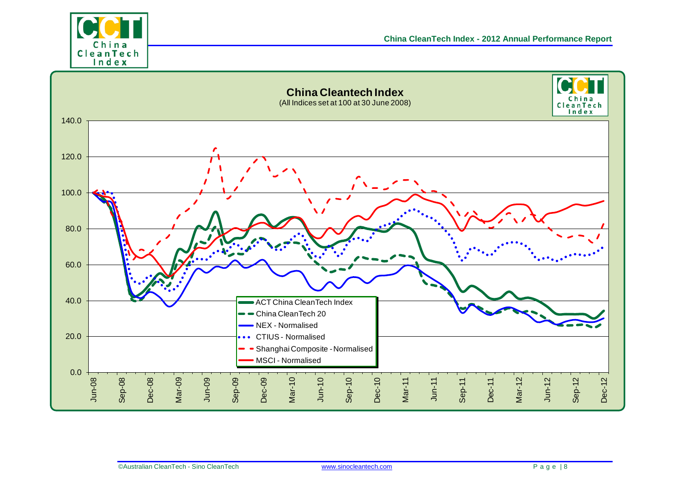

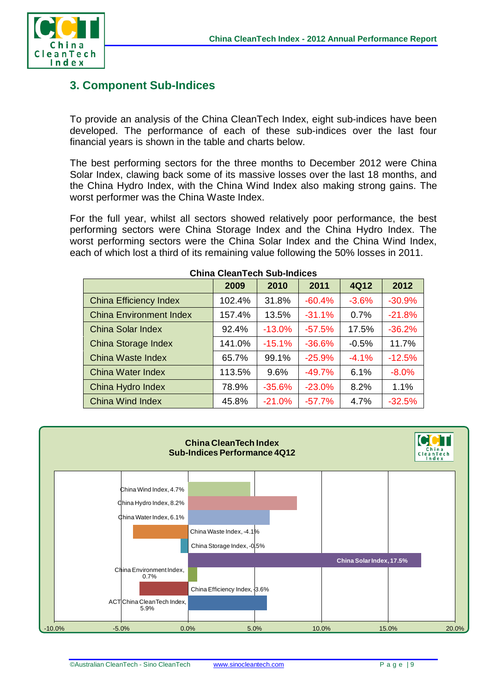

## **3. Component Sub-Indices**

To provide an analysis of the China CleanTech Index, eight sub-indices have been developed. The performance of each of these sub-indices over the last four financial years is shown in the table and charts below.

The best performing sectors for the three months to December 2012 were China Solar Index, clawing back some of its massive losses over the last 18 months, and the China Hydro Index, with the China Wind Index also making strong gains. The worst performer was the China Waste Index.

For the full year, whilst all sectors showed relatively poor performance, the best performing sectors were China Storage Index and the China Hydro Index. The worst performing sectors were the China Solar Index and the China Wind Index, each of which lost a third of its remaining value following the 50% losses in 2011.

|                                | 2009   | 2010     | 2011     | 4Q12    | 2012     |  |  |
|--------------------------------|--------|----------|----------|---------|----------|--|--|
| <b>China Efficiency Index</b>  | 102.4% | 31.8%    | $-60.4%$ | $-3.6%$ | $-30.9%$ |  |  |
| <b>China Environment Index</b> | 157.4% | 13.5%    | $-31.1%$ | 0.7%    | $-21.8%$ |  |  |
| <b>China Solar Index</b>       | 92.4%  | $-13.0%$ | $-57.5%$ | 17.5%   | $-36.2%$ |  |  |
| China Storage Index            | 141.0% | $-15.1%$ | $-36.6%$ | $-0.5%$ | 11.7%    |  |  |
| China Waste Index              | 65.7%  | 99.1%    | $-25.9%$ | $-4.1%$ | $-12.5%$ |  |  |
| <b>China Water Index</b>       | 113.5% | 9.6%     | $-49.7%$ | 6.1%    | $-8.0%$  |  |  |
| China Hydro Index              | 78.9%  | $-35.6%$ | $-23.0%$ | 8.2%    | 1.1%     |  |  |
| China Wind Index               | 45.8%  | $-21.0%$ | $-57.7%$ | 4.7%    | $-32.5%$ |  |  |

#### **China CleanTech Sub-Indices**

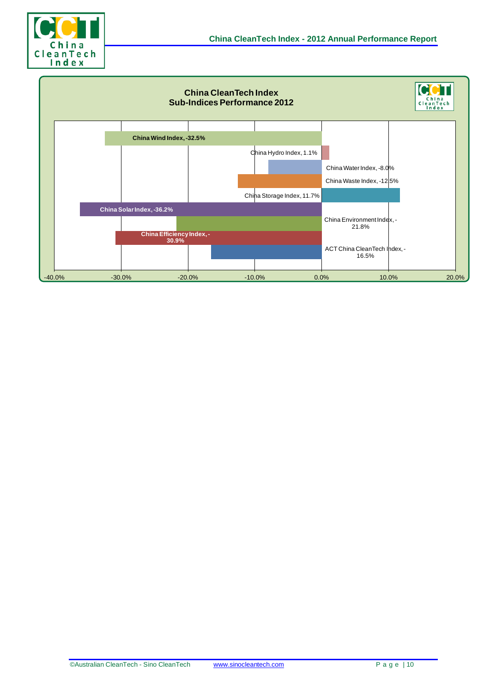

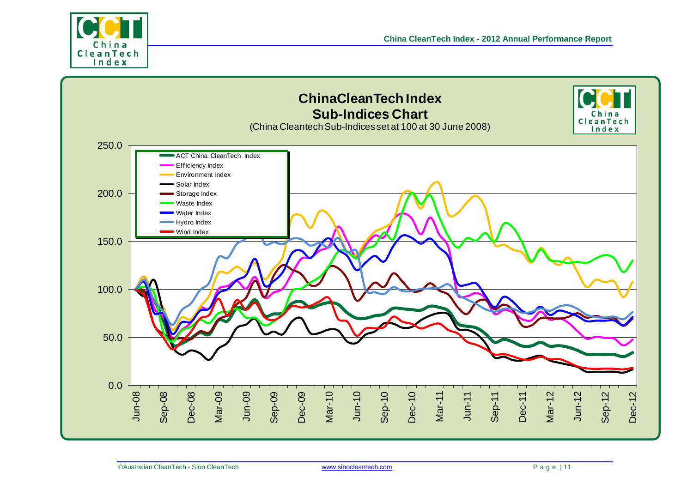